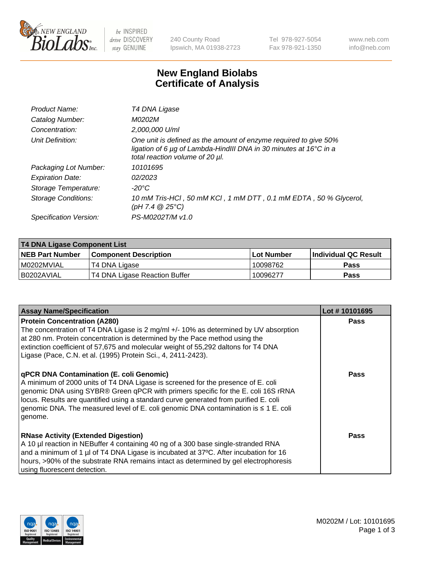

 $be$  INSPIRED drive DISCOVERY stay GENUINE

240 County Road Ipswich, MA 01938-2723 Tel 978-927-5054 Fax 978-921-1350 www.neb.com info@neb.com

## **New England Biolabs Certificate of Analysis**

| Product Name:           | T4 DNA Ligase                                                                                                                                                            |
|-------------------------|--------------------------------------------------------------------------------------------------------------------------------------------------------------------------|
| Catalog Number:         | M0202M                                                                                                                                                                   |
| Concentration:          | 2,000,000 U/ml                                                                                                                                                           |
| Unit Definition:        | One unit is defined as the amount of enzyme required to give 50%<br>ligation of 6 µg of Lambda-HindIII DNA in 30 minutes at 16°C in a<br>total reaction volume of 20 µl. |
| Packaging Lot Number:   | 10101695                                                                                                                                                                 |
| <b>Expiration Date:</b> | 02/2023                                                                                                                                                                  |
| Storage Temperature:    | $-20^{\circ}$ C                                                                                                                                                          |
| Storage Conditions:     | 10 mM Tris-HCl, 50 mM KCl, 1 mM DTT, 0.1 mM EDTA, 50 % Glycerol,<br>$(pH 7.4 \ @ 25^{\circ}C)$                                                                           |
| Specification Version:  | PS-M0202T/M v1.0                                                                                                                                                         |

| <b>T4 DNA Ligase Component List</b> |                               |            |                             |  |
|-------------------------------------|-------------------------------|------------|-----------------------------|--|
| <b>NEB Part Number</b>              | <b>Component Description</b>  | Lot Number | <b>Individual QC Result</b> |  |
| I M0202MVIAL                        | T4 DNA Ligase                 | 10098762   | <b>Pass</b>                 |  |
| B0202AVIAL                          | T4 DNA Ligase Reaction Buffer | 10096277   | <b>Pass</b>                 |  |

| <b>Assay Name/Specification</b>                                                                                                                                                                                                                                                                                                                                                                             | Lot #10101695 |
|-------------------------------------------------------------------------------------------------------------------------------------------------------------------------------------------------------------------------------------------------------------------------------------------------------------------------------------------------------------------------------------------------------------|---------------|
| <b>Protein Concentration (A280)</b><br>The concentration of T4 DNA Ligase is 2 mg/ml +/- 10% as determined by UV absorption<br>at 280 nm. Protein concentration is determined by the Pace method using the<br>extinction coefficient of 57,675 and molecular weight of 55,292 daltons for T4 DNA<br>Ligase (Pace, C.N. et al. (1995) Protein Sci., 4, 2411-2423).                                           | <b>Pass</b>   |
| qPCR DNA Contamination (E. coli Genomic)<br>A minimum of 2000 units of T4 DNA Ligase is screened for the presence of E. coli<br>genomic DNA using SYBR® Green qPCR with primers specific for the E. coli 16S rRNA<br>locus. Results are quantified using a standard curve generated from purified E. coli<br>genomic DNA. The measured level of E. coli genomic DNA contamination is ≤ 1 E. coli<br>genome. | <b>Pass</b>   |
| <b>RNase Activity (Extended Digestion)</b><br>A 10 µl reaction in NEBuffer 4 containing 40 ng of a 300 base single-stranded RNA<br>and a minimum of 1 µl of T4 DNA Ligase is incubated at 37°C. After incubation for 16<br>hours, >90% of the substrate RNA remains intact as determined by gel electrophoresis<br>using fluorescent detection.                                                             | <b>Pass</b>   |

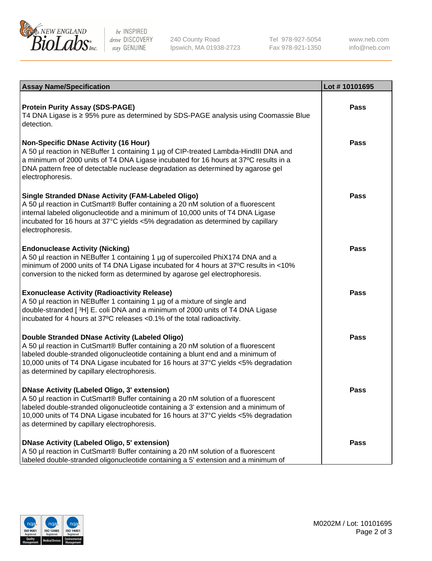

be INSPIRED drive DISCOVERY stay GENUINE

240 County Road Ipswich, MA 01938-2723 Tel 978-927-5054 Fax 978-921-1350 www.neb.com info@neb.com

| <b>Assay Name/Specification</b>                                                                                                                                                                                                                                                                                                                               | Lot #10101695 |
|---------------------------------------------------------------------------------------------------------------------------------------------------------------------------------------------------------------------------------------------------------------------------------------------------------------------------------------------------------------|---------------|
| <b>Protein Purity Assay (SDS-PAGE)</b><br>T4 DNA Ligase is ≥ 95% pure as determined by SDS-PAGE analysis using Coomassie Blue<br>detection.                                                                                                                                                                                                                   | <b>Pass</b>   |
| <b>Non-Specific DNase Activity (16 Hour)</b><br>A 50 µl reaction in NEBuffer 1 containing 1 µg of CIP-treated Lambda-HindIII DNA and<br>a minimum of 2000 units of T4 DNA Ligase incubated for 16 hours at 37°C results in a<br>DNA pattern free of detectable nuclease degradation as determined by agarose gel<br>electrophoresis.                          | <b>Pass</b>   |
| <b>Single Stranded DNase Activity (FAM-Labeled Oligo)</b><br>A 50 µl reaction in CutSmart® Buffer containing a 20 nM solution of a fluorescent<br>internal labeled oligonucleotide and a minimum of 10,000 units of T4 DNA Ligase<br>incubated for 16 hours at 37°C yields <5% degradation as determined by capillary<br>electrophoresis.                     | Pass          |
| <b>Endonuclease Activity (Nicking)</b><br>A 50 µl reaction in NEBuffer 1 containing 1 µg of supercoiled PhiX174 DNA and a<br>minimum of 2000 units of T4 DNA Ligase incubated for 4 hours at 37°C results in <10%<br>conversion to the nicked form as determined by agarose gel electrophoresis.                                                              | Pass          |
| <b>Exonuclease Activity (Radioactivity Release)</b><br>A 50 µl reaction in NEBuffer 1 containing 1 µg of a mixture of single and<br>double-stranded [3H] E. coli DNA and a minimum of 2000 units of T4 DNA Ligase<br>incubated for 4 hours at 37°C releases <0.1% of the total radioactivity.                                                                 | Pass          |
| Double Stranded DNase Activity (Labeled Oligo)<br>A 50 µl reaction in CutSmart® Buffer containing a 20 nM solution of a fluorescent<br>labeled double-stranded oligonucleotide containing a blunt end and a minimum of<br>10,000 units of T4 DNA Ligase incubated for 16 hours at 37°C yields <5% degradation<br>as determined by capillary electrophoresis.  | <b>Pass</b>   |
| DNase Activity (Labeled Oligo, 3' extension)<br>A 50 µl reaction in CutSmart® Buffer containing a 20 nM solution of a fluorescent<br>labeled double-stranded oligonucleotide containing a 3' extension and a minimum of<br>10,000 units of T4 DNA Ligase incubated for 16 hours at 37°C yields <5% degradation<br>as determined by capillary electrophoresis. | <b>Pass</b>   |
| DNase Activity (Labeled Oligo, 5' extension)<br>A 50 µl reaction in CutSmart® Buffer containing a 20 nM solution of a fluorescent<br>Iabeled double-stranded oligonucleotide containing a 5' extension and a minimum of                                                                                                                                       | <b>Pass</b>   |